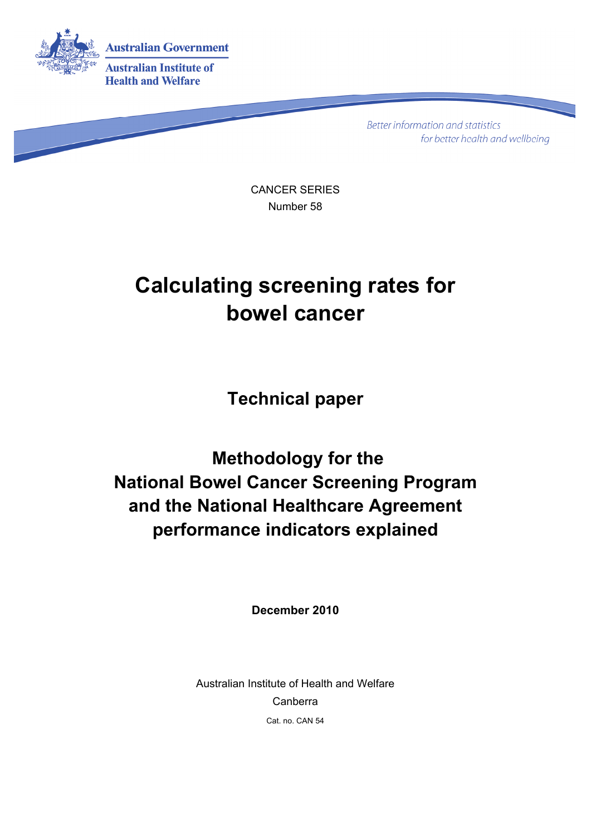

**Better information and statistics** for better health and wellbeing

CANCER SERIES Number 58

## **Calculating screening rates for bowel cancer**

**Technical paper** 

 **Methodology for the National Bowel Cancer Screening Program and the National Healthcare Agreement performance indicators explained** 

**December 2010** 

Australian Institute of Health and Welfare Canberra Cat. no. CAN 54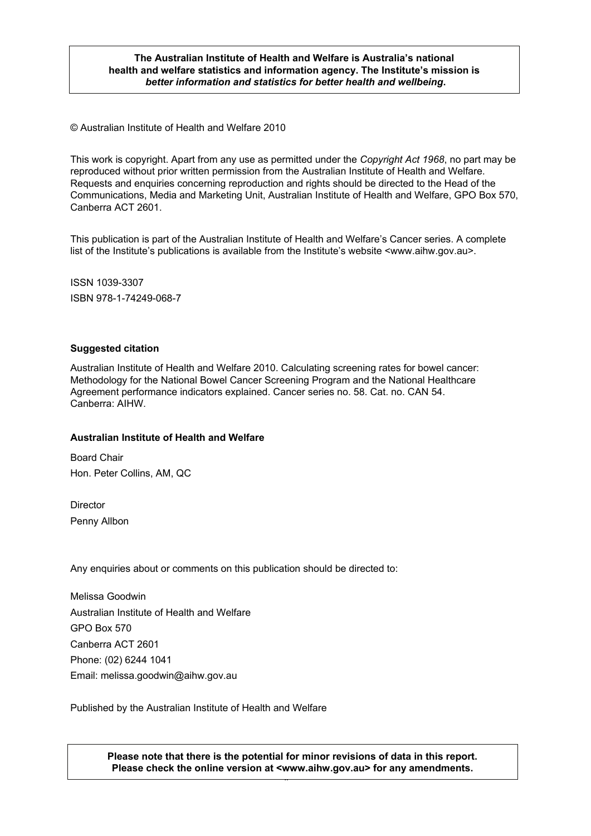#### **The Australian Institute of Health and Welfare is Australia's national health and welfare statistics and information agency. The Institute's mission is**  *better information and statistics for better health and wellbeing***.**

© Australian Institute of Health and Welfare 2010

This work is copyright. Apart from any use as permitted under the *Copyright Act 1968*, no part may be reproduced without prior written permission from the Australian Institute of Health and Welfare. Requests and enquiries concerning reproduction and rights should be directed to the Head of the Communications, Media and Marketing Unit, Australian Institute of Health and Welfare, GPO Box 570, Canberra ACT 2601.

This publication is part of the Australian Institute of Health and Welfare's Cancer series. A complete list of the Institute's publications is available from the Institute's website <www.aihw.gov.au>.

ISSN 1039-3307 ISBN 978-1-74249-068-7

#### **Suggested citation**

Australian Institute of Health and Welfare 2010. Calculating screening rates for bowel cancer: Methodology for the National Bowel Cancer Screening Program and the National Healthcare Agreement performance indicators explained. Cancer series no. 58. Cat. no. CAN 54. Canberra: AIHW.

#### **Australian Institute of Health and Welfare**

Board Chair Hon. Peter Collins, AM, QC

**Director** Penny Allbon

Any enquiries about or comments on this publication should be directed to:

Melissa Goodwin Australian Institute of Health and Welfare GPO Box 570 Canberra ACT 2601 Phone: (02) 6244 1041 Email: melissa.goodwin@aihw.gov.au

Published by the Australian Institute of Health and Welfare

ii **Please note that there is the potential for minor revisions of data in this report. Please check the online version at <www.aihw.gov.au> for any amendments.**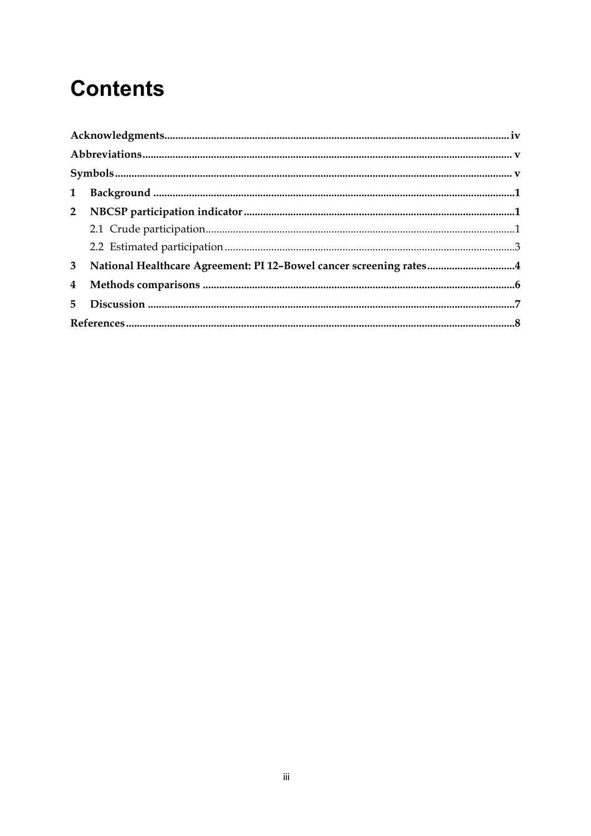# **Contents**

|                | 3 National Healthcare Agreement: PI 12-Bowel cancer screening rates4 |  |
|----------------|----------------------------------------------------------------------|--|
| $\overline{4}$ |                                                                      |  |
|                |                                                                      |  |
|                |                                                                      |  |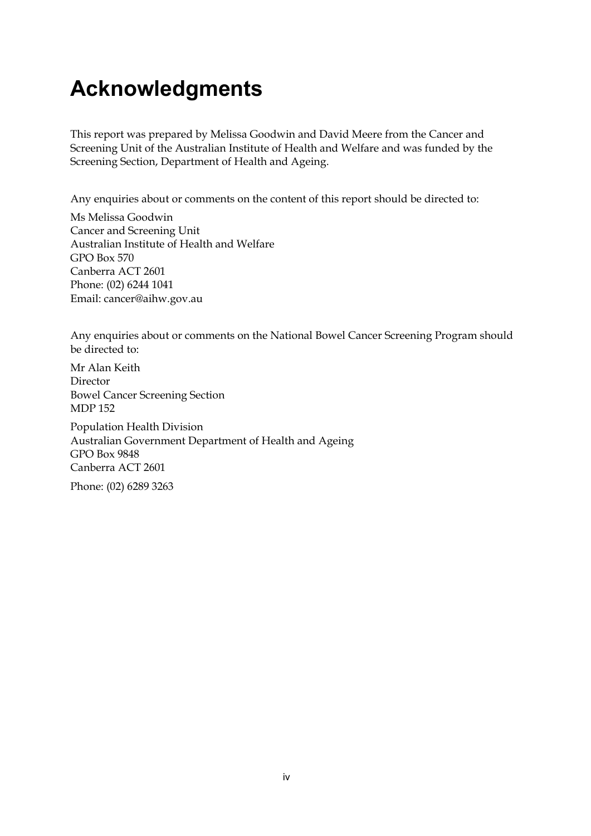## <span id="page-3-0"></span>**Acknowledgments**

This report was prepared by Melissa Goodwin and David Meere from the Cancer and Screening Unit of the Australian Institute of Health and Welfare and was funded by the Screening Section, Department of Health and Ageing.

Any enquiries about or comments on the content of this report should be directed to:

Ms Melissa Goodwin Cancer and Screening Unit Australian Institute of Health and Welfare GPO Box 570 Canberra ACT 2601 Phone: (02) 6244 1041 Email: cancer@aihw.gov.au

Any enquiries about or comments on the National Bowel Cancer Screening Program should be directed to:

Mr Alan Keith Director Bowel Cancer Screening Section MDP 152

Population Health Division Australian Government Department of Health and Ageing GPO Box 9848 Canberra ACT 2601

Phone: (02) 6289 3263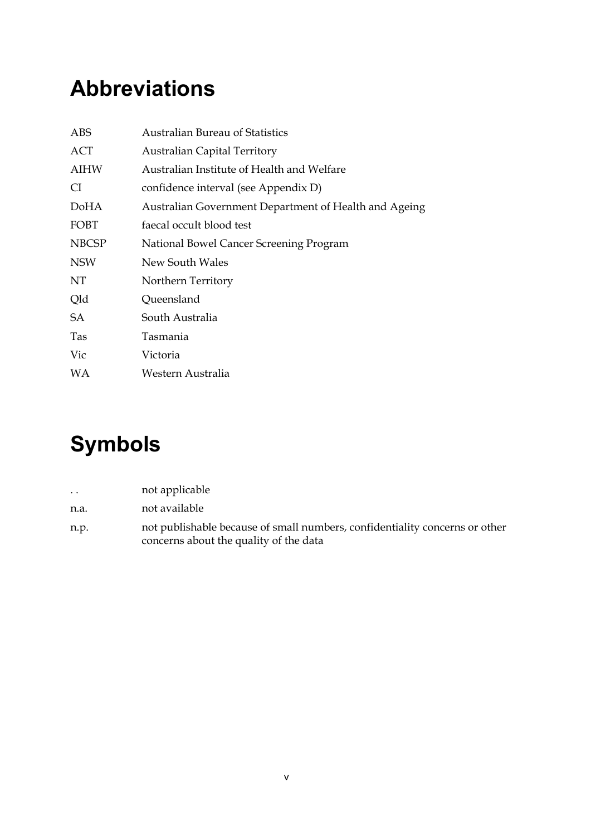## <span id="page-4-0"></span>**Abbreviations**

| <b>ABS</b>   | <b>Australian Bureau of Statistics</b>                |
|--------------|-------------------------------------------------------|
| ACT          | <b>Australian Capital Territory</b>                   |
| AIHW         | Australian Institute of Health and Welfare            |
| CI.          | confidence interval (see Appendix D)                  |
| DoHA         | Australian Government Department of Health and Ageing |
| FOBT         | faecal occult blood test                              |
| <b>NBCSP</b> | National Bowel Cancer Screening Program               |
| <b>NSW</b>   | New South Wales                                       |
| NT           | Northern Territory                                    |
| Qld          | Queensland                                            |
| SА           | South Australia                                       |
| Tas          | Tasmania                                              |
| Vic          | Victoria                                              |
| WA           | Western Australia                                     |

# <span id="page-4-1"></span>**Symbols**

| $\cdot$ . | not applicable                                                                                                        |
|-----------|-----------------------------------------------------------------------------------------------------------------------|
| n.a.      | not available                                                                                                         |
| n.p.      | not publishable because of small numbers, confidentiality concerns or other<br>concerns about the quality of the data |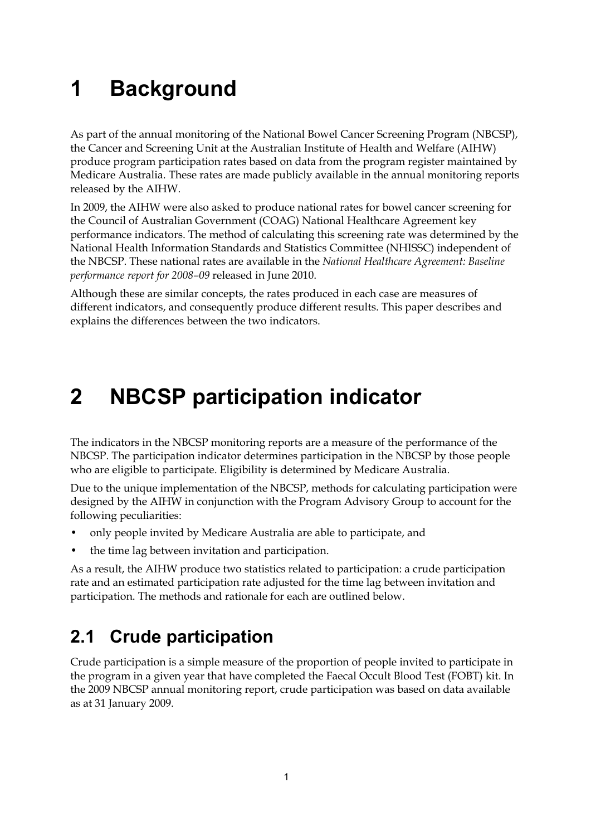# <span id="page-6-0"></span>**1 Background**

As part of the annual monitoring of the National Bowel Cancer Screening Program (NBCSP), the Cancer and Screening Unit at the Australian Institute of Health and Welfare (AIHW) produce program participation rates based on data from the program register maintained by Medicare Australia. These rates are made publicly available in the annual monitoring reports released by the AIHW.

In 2009, the AIHW were also asked to produce national rates for bowel cancer screening for the Council of Australian Government (COAG) National Healthcare Agreement key performance indicators. The method of calculating this screening rate was determined by the National Health Information Standards and Statistics Committee (NHISSC) independent of the NBCSP. These national rates are available in the *National Healthcare Agreement: Baseline performance report for 2008–09* released in June 2010.

Although these are similar concepts, the rates produced in each case are measures of different indicators, and consequently produce different results. This paper describes and explains the differences between the two indicators.

## <span id="page-6-1"></span>**2 NBCSP participation indicator**

The indicators in the NBCSP monitoring reports are a measure of the performance of the NBCSP. The participation indicator determines participation in the NBCSP by those people who are eligible to participate. Eligibility is determined by Medicare Australia.

Due to the unique implementation of the NBCSP, methods for calculating participation were designed by the AIHW in conjunction with the Program Advisory Group to account for the following peculiarities:

- only people invited by Medicare Australia are able to participate, and
- the time lag between invitation and participation.

As a result, the AIHW produce two statistics related to participation: a crude participation rate and an estimated participation rate adjusted for the time lag between invitation and participation. The methods and rationale for each are outlined below.

### <span id="page-6-2"></span>**2.1 Crude participation**

Crude participation is a simple measure of the proportion of people invited to participate in the program in a given year that have completed the Faecal Occult Blood Test (FOBT) kit. In the 2009 NBCSP annual monitoring report, crude participation was based on data available as at 31 January 2009.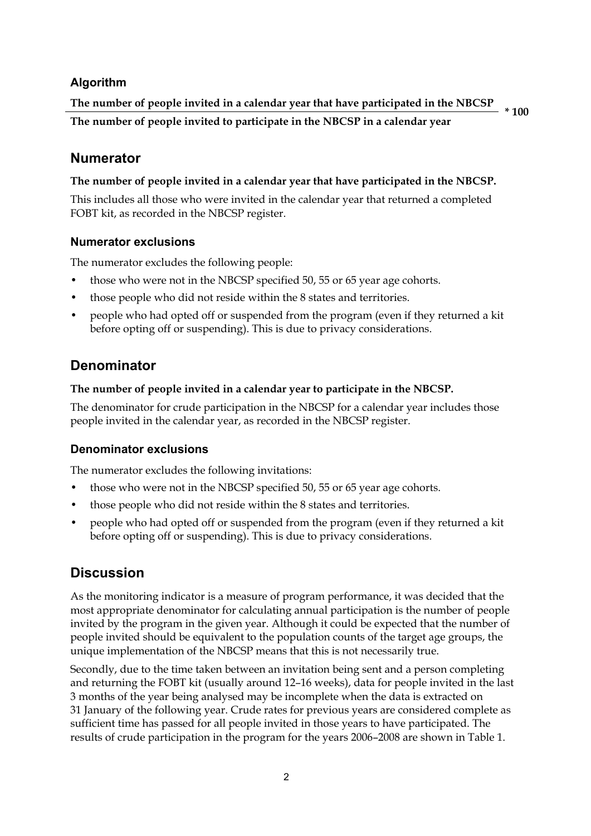#### **Algorithm**

**The number of people invited in a calendar year that have participated in the NBCSP The number of people invited to participate in the NBCSP in a calendar year** 

**\* 100**

#### **Numerator**

#### **The number of people invited in a calendar year that have participated in the NBCSP.**

This includes all those who were invited in the calendar year that returned a completed FOBT kit, as recorded in the NBCSP register.

#### **Numerator exclusions**

The numerator excludes the following people:

- those who were not in the NBCSP specified 50, 55 or 65 year age cohorts.
- those people who did not reside within the 8 states and territories.
- people who had opted off or suspended from the program (even if they returned a kit before opting off or suspending). This is due to privacy considerations.

#### **Denominator**

#### **The number of people invited in a calendar year to participate in the NBCSP.**

The denominator for crude participation in the NBCSP for a calendar year includes those people invited in the calendar year, as recorded in the NBCSP register.

#### **Denominator exclusions**

The numerator excludes the following invitations:

- those who were not in the NBCSP specified 50, 55 or 65 year age cohorts.
- those people who did not reside within the 8 states and territories.
- people who had opted off or suspended from the program (even if they returned a kit before opting off or suspending). This is due to privacy considerations.

#### **Discussion**

As the monitoring indicator is a measure of program performance, it was decided that the most appropriate denominator for calculating annual participation is the number of people invited by the program in the given year. Although it could be expected that the number of people invited should be equivalent to the population counts of the target age groups, the unique implementation of the NBCSP means that this is not necessarily true.

Secondly, due to the time taken between an invitation being sent and a person completing and returning the FOBT kit (usually around 12–16 weeks), data for people invited in the last 3 months of the year being analysed may be incomplete when the data is extracted on 31 January of the following year. Crude rates for previous years are considered complete as sufficient time has passed for all people invited in those years to have participated. The results of crude participation in the program for the years 2006–2008 are shown in Table 1.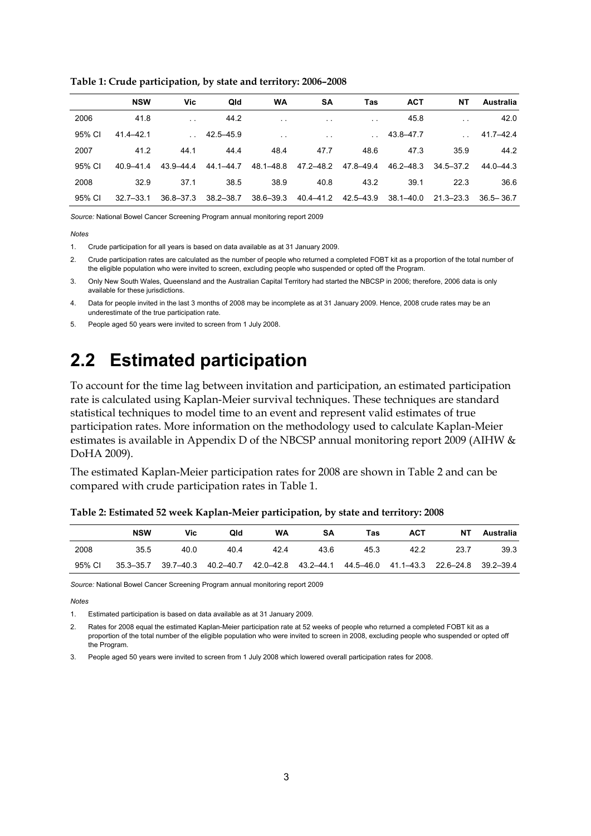|  |  |  | Table 1: Crude participation, by state and territory: 2006-2008 |  |
|--|--|--|-----------------------------------------------------------------|--|
|--|--|--|-----------------------------------------------------------------|--|

|        | <b>NSW</b>    | Vic           | Qld           | WA            | <b>SA</b>            | Tas       | <b>ACT</b>    | NΤ                   | Australia     |
|--------|---------------|---------------|---------------|---------------|----------------------|-----------|---------------|----------------------|---------------|
| 2006   | 41.8          | $\cdot$ .     | 44.2          | $\sim$        | $\sim$               | $\sim$    | 45.8          | $\ddot{\phantom{0}}$ | 42.0          |
| 95% CI | 41.4-42.1     |               | 42.5-45.9     | $\sim$        | $\ddot{\phantom{0}}$ |           | 43.8-47.7     |                      | $41.7 - 42.4$ |
| 2007   | 41.2          | 44.1          | 44.4          | 48.4          | 47.7                 | 48.6      | 47.3          | 35.9                 | 44.2          |
| 95% CI | $409 - 414$   | 43.9-44.4     | 44.1-44.7     | 48.1-48.8     | 47.2-48.2            | 47.8-49.4 | $46.2 - 48.3$ | $34.5 - 37.2$        | 44.0-44.3     |
| 2008   | 32.9          | 37.1          | 38.5          | 38.9          | 40.8                 | 43.2      | 39.1          | 22.3                 | 36.6          |
| 95% CI | $32.7 - 33.1$ | $36.8 - 37.3$ | $38.2 - 38.7$ | $38.6 - 39.3$ | $40.4 - 41.2$        | 42.5-43.9 | $38.1 - 40.0$ | $21.3 - 23.3$        | $36.5 - 36.7$ |

*Source:* National Bowel Cancer Screening Program annual monitoring report 2009

*Notes* 

1. Crude participation for all years is based on data available as at 31 January 2009.

2. Crude participation rates are calculated as the number of people who returned a completed FOBT kit as a proportion of the total number of the eligible population who were invited to screen, excluding people who suspended or opted off the Program.

3. Only New South Wales, Queensland and the Australian Capital Territory had started the NBCSP in 2006; therefore, 2006 data is only available for these jurisdictions.

4. Data for people invited in the last 3 months of 2008 may be incomplete as at 31 January 2009. Hence, 2008 crude rates may be an underestimate of the true participation rate.

5. People aged 50 years were invited to screen from 1 July 2008.

### <span id="page-8-0"></span>**2.2 Estimated participation**

To account for the time lag between invitation and participation, an estimated participation rate is calculated using Kaplan-Meier survival techniques. These techniques are standard statistical techniques to model time to an event and represent valid estimates of true participation rates. More information on the methodology used to calculate Kaplan-Meier estimates is available in Appendix D of the NBCSP annual monitoring report 2009 (AIHW & DoHA 2009).

The estimated Kaplan-Meier participation rates for 2008 are shown in Table 2 and can be compared with crude participation rates in Table 1.

|        | <b>NSW</b> | Vic  | Qld  | WA                                                                                        | SΑ   | Tas  | <b>ACT</b> | NT.  | Australia |
|--------|------------|------|------|-------------------------------------------------------------------------------------------|------|------|------------|------|-----------|
| 2008   | 35.5       | 40.0 | 40.4 | 42.4                                                                                      | 43.6 | 45.3 | 42.2       | 23.7 | 39.3      |
| 95% CI |            |      |      | 35.3-35.7 39.7-40.3 40.2-40.7 42.0-42.8 43.2-44.1 44.5-46.0 41.1-43.3 22.6-24.8 39.2-39.4 |      |      |            |      |           |

**Table 2: Estimated 52 week Kaplan-Meier participation, by state and territory: 2008**

*Source:* National Bowel Cancer Screening Program annual monitoring report 2009

*Notes* 

1. Estimated participation is based on data available as at 31 January 2009.

<sup>2.</sup> Rates for 2008 equal the estimated Kaplan-Meier participation rate at 52 weeks of people who returned a completed FOBT kit as a proportion of the total number of the eligible population who were invited to screen in 2008, excluding people who suspended or opted off the Program.

<sup>3.</sup> People aged 50 years were invited to screen from 1 July 2008 which lowered overall participation rates for 2008.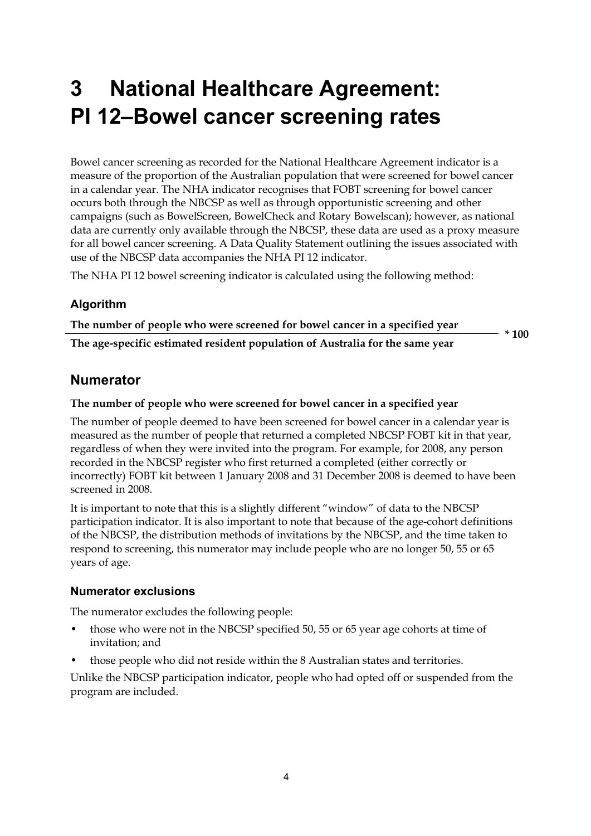# <span id="page-9-0"></span>**3 National Healthcare Agreement: PI 12–Bowel cancer screening rates**

Bowel cancer screening as recorded for the National Healthcare Agreement indicator is a measure of the proportion of the Australian population that were screened for bowel cancer in a calendar year. The NHA indicator recognises that FOBT screening for bowel cancer occurs both through the NBCSP as well as through opportunistic screening and other campaigns (such as BowelScreen, BowelCheck and Rotary Bowelscan); however, as national data are currently only available through the NBCSP, these data are used as a proxy measure for all bowel cancer screening. A Data Quality Statement outlining the issues associated with use of the NBCSP data accompanies the NHA PI 12 indicator.

The NHA PI 12 bowel screening indicator is calculated using the following method:

#### **Algorithm**

**The number of people who were screened for bowel cancer in a specified year The age-specific estimated resident population of Australia for the same year** 

**\* 100**

#### **Numerator**

#### **The number of people who were screened for bowel cancer in a specified year**

The number of people deemed to have been screened for bowel cancer in a calendar year is measured as the number of people that returned a completed NBCSP FOBT kit in that year, regardless of when they were invited into the program. For example, for 2008, any person recorded in the NBCSP register who first returned a completed (either correctly or incorrectly) FOBT kit between 1 January 2008 and 31 December 2008 is deemed to have been screened in 2008.

It is important to note that this is a slightly different "window" of data to the NBCSP participation indicator. It is also important to note that because of the age-cohort definitions of the NBCSP, the distribution methods of invitations by the NBCSP, and the time taken to respond to screening, this numerator may include people who are no longer 50, 55 or 65 years of age.

#### **Numerator exclusions**

The numerator excludes the following people:

- those who were not in the NBCSP specified 50, 55 or 65 year age cohorts at time of invitation; and
- those people who did not reside within the 8 Australian states and territories.

Unlike the NBCSP participation indicator, people who had opted off or suspended from the program are included.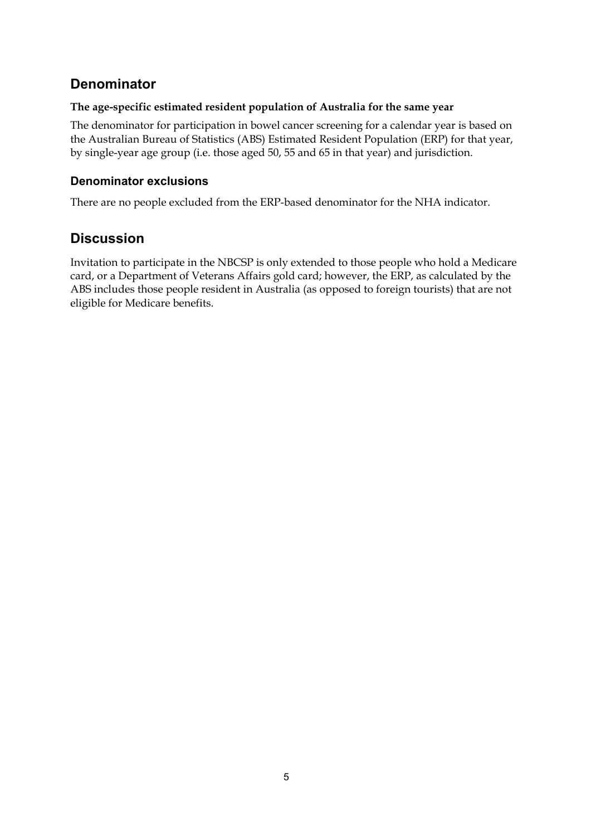#### **Denominator**

#### **The age-specific estimated resident population of Australia for the same year**

The denominator for participation in bowel cancer screening for a calendar year is based on the Australian Bureau of Statistics (ABS) Estimated Resident Population (ERP) for that year, by single-year age group (i.e. those aged 50, 55 and 65 in that year) and jurisdiction.

#### **Denominator exclusions**

There are no people excluded from the ERP-based denominator for the NHA indicator.

#### **Discussion**

Invitation to participate in the NBCSP is only extended to those people who hold a Medicare card, or a Department of Veterans Affairs gold card; however, the ERP, as calculated by the ABS includes those people resident in Australia (as opposed to foreign tourists) that are not eligible for Medicare benefits.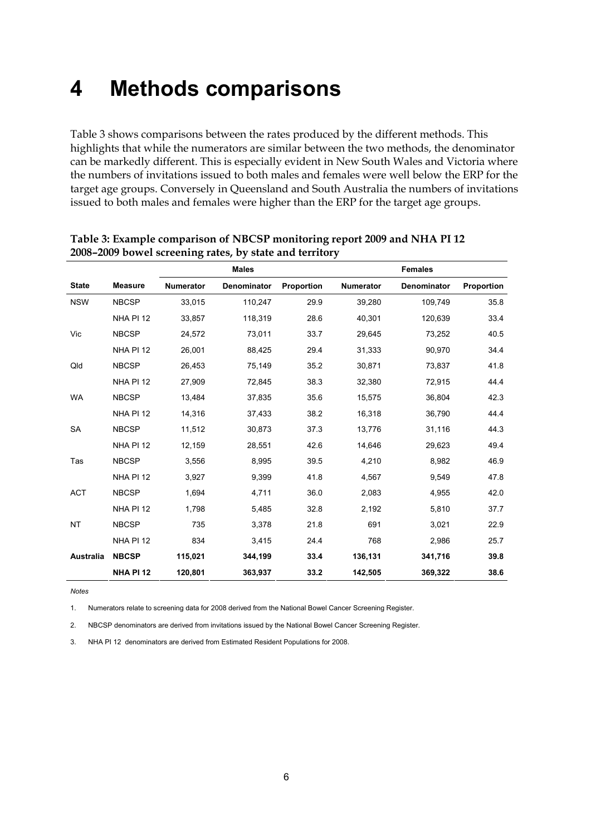### <span id="page-11-0"></span>**4 Methods comparisons**

Table 3 shows comparisons between the rates produced by the different methods. This highlights that while the numerators are similar between the two methods, the denominator can be markedly different. This is especially evident in New South Wales and Victoria where the numbers of invitations issued to both males and females were well below the ERP for the target age groups. Conversely in Queensland and South Australia the numbers of invitations issued to both males and females were higher than the ERP for the target age groups.

|                  |                  | <b>Males</b>     |             |            |                  | <b>Females</b> |            |
|------------------|------------------|------------------|-------------|------------|------------------|----------------|------------|
| <b>State</b>     | <b>Measure</b>   | <b>Numerator</b> | Denominator | Proportion | <b>Numerator</b> | Denominator    | Proportion |
| <b>NSW</b>       | <b>NBCSP</b>     | 33,015           | 110,247     | 29.9       | 39,280           | 109,749        | 35.8       |
|                  | NHA PI 12        | 33,857           | 118,319     | 28.6       | 40,301           | 120,639        | 33.4       |
| Vic              | <b>NBCSP</b>     | 24,572           | 73,011      | 33.7       | 29,645           | 73,252         | 40.5       |
|                  | NHA PI 12        | 26,001           | 88,425      | 29.4       | 31,333           | 90.970         | 34.4       |
| Qld              | <b>NBCSP</b>     | 26,453           | 75,149      | 35.2       | 30,871           | 73,837         | 41.8       |
|                  | NHA PI 12        | 27,909           | 72,845      | 38.3       | 32,380           | 72,915         | 44.4       |
| <b>WA</b>        | <b>NBCSP</b>     | 13,484           | 37,835      | 35.6       | 15,575           | 36,804         | 42.3       |
|                  | NHA PI 12        | 14,316           | 37,433      | 38.2       | 16,318           | 36,790         | 44.4       |
| <b>SA</b>        | <b>NBCSP</b>     | 11,512           | 30,873      | 37.3       | 13,776           | 31,116         | 44.3       |
|                  | NHA PI 12        | 12,159           | 28,551      | 42.6       | 14,646           | 29,623         | 49.4       |
| Tas              | <b>NBCSP</b>     | 3,556            | 8,995       | 39.5       | 4,210            | 8,982          | 46.9       |
|                  | NHA PI 12        | 3,927            | 9,399       | 41.8       | 4,567            | 9,549          | 47.8       |
| <b>ACT</b>       | <b>NBCSP</b>     | 1,694            | 4,711       | 36.0       | 2,083            | 4,955          | 42.0       |
|                  | NHA PI 12        | 1,798            | 5,485       | 32.8       | 2,192            | 5,810          | 37.7       |
| <b>NT</b>        | <b>NBCSP</b>     | 735              | 3,378       | 21.8       | 691              | 3,021          | 22.9       |
|                  | NHA PI 12        | 834              | 3,415       | 24.4       | 768              | 2,986          | 25.7       |
| <b>Australia</b> | <b>NBCSP</b>     | 115,021          | 344,199     | 33.4       | 136,131          | 341,716        | 39.8       |
|                  | <b>NHA PI 12</b> | 120,801          | 363,937     | 33.2       | 142,505          | 369,322        | 38.6       |

**Table 3: Example comparison of NBCSP monitoring report 2009 and NHA PI 12 2008–2009 bowel screening rates, by state and territory** 

*Notes* 

1. Numerators relate to screening data for 2008 derived from the National Bowel Cancer Screening Register.

2. NBCSP denominators are derived from invitations issued by the National Bowel Cancer Screening Register.

3. NHA PI 12 denominators are derived from Estimated Resident Populations for 2008.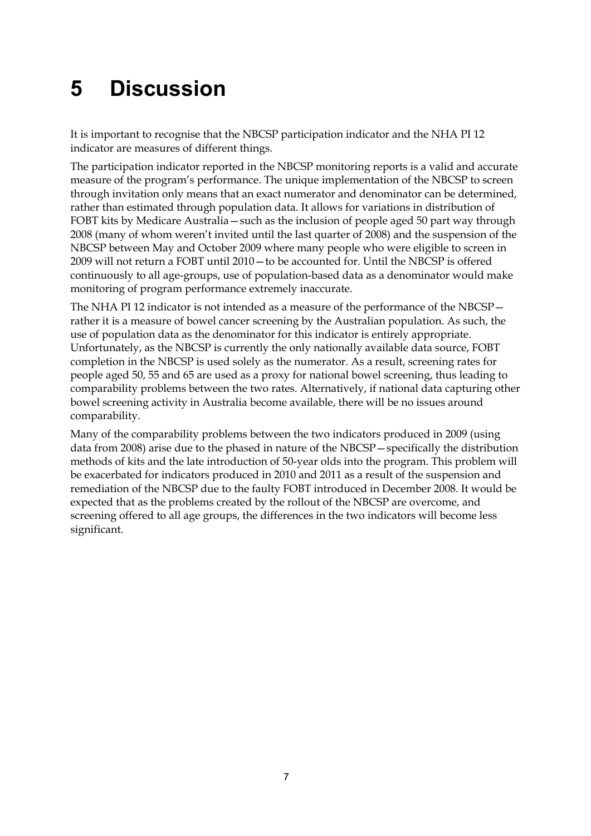# <span id="page-12-0"></span>**5 Discussion**

It is important to recognise that the NBCSP participation indicator and the NHA PI 12 indicator are measures of different things.

The participation indicator reported in the NBCSP monitoring reports is a valid and accurate measure of the program's performance. The unique implementation of the NBCSP to screen through invitation only means that an exact numerator and denominator can be determined, rather than estimated through population data. It allows for variations in distribution of FOBT kits by Medicare Australia—such as the inclusion of people aged 50 part way through 2008 (many of whom weren't invited until the last quarter of 2008) and the suspension of the NBCSP between May and October 2009 where many people who were eligible to screen in 2009 will not return a FOBT until 2010—to be accounted for. Until the NBCSP is offered continuously to all age-groups, use of population-based data as a denominator would make monitoring of program performance extremely inaccurate.

The NHA PI 12 indicator is not intended as a measure of the performance of the NBCSP rather it is a measure of bowel cancer screening by the Australian population. As such, the use of population data as the denominator for this indicator is entirely appropriate. Unfortunately, as the NBCSP is currently the only nationally available data source, FOBT completion in the NBCSP is used solely as the numerator. As a result, screening rates for people aged 50, 55 and 65 are used as a proxy for national bowel screening, thus leading to comparability problems between the two rates. Alternatively, if national data capturing other bowel screening activity in Australia become available, there will be no issues around comparability.

Many of the comparability problems between the two indicators produced in 2009 (using data from 2008) arise due to the phased in nature of the NBCSP—specifically the distribution methods of kits and the late introduction of 50-year olds into the program. This problem will be exacerbated for indicators produced in 2010 and 2011 as a result of the suspension and remediation of the NBCSP due to the faulty FOBT introduced in December 2008. It would be expected that as the problems created by the rollout of the NBCSP are overcome, and screening offered to all age groups, the differences in the two indicators will become less significant.